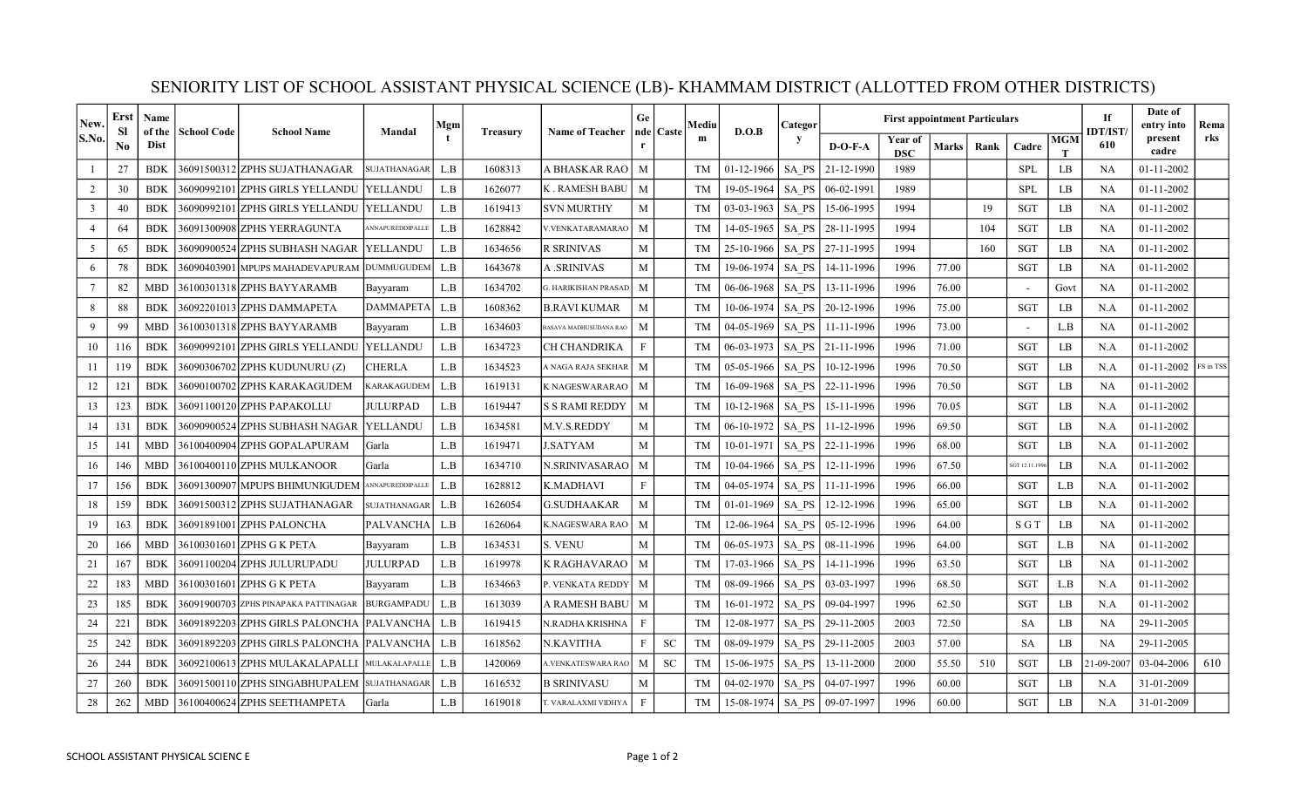| New.            | Erst<br>Sl     | <b>Name</b>           |                    | <b>School Name</b>                              |                     | Mgm                     |                 |                               | Ge           | Mediu<br>nde   Caste<br>m |           | D.O.B        | Categor   | <b>First appointment Particulars</b> |              |       |       |                 |                       |                  | Date of<br>entry into | Rema      |
|-----------------|----------------|-----------------------|--------------------|-------------------------------------------------|---------------------|-------------------------|-----------------|-------------------------------|--------------|---------------------------|-----------|--------------|-----------|--------------------------------------|--------------|-------|-------|-----------------|-----------------------|------------------|-----------------------|-----------|
| S.No.           | N <sub>0</sub> | of the<br><b>Dist</b> | <b>School Code</b> |                                                 | Mandal              |                         | <b>Treasury</b> | <b>Name of Teacher</b>        |              |                           |           |              | $D-O-F-A$ | Year of<br><b>DSC</b>                | <b>Marks</b> | Rank  | Cadre | <b>MGM</b><br>T | <b>IDT/IST</b><br>610 | present<br>cadre | rks                   |           |
|                 | 27             | <b>BDK</b>            |                    | 36091500312 ZPHS SUJATHANAGAR                   | <b>SUJATHANAGAR</b> | L.B                     | 1608313         | A BHASKAR RAO                 | M            |                           | <b>TM</b> | $01-12-1966$ | SA PS     | 21-12-1990                           | 1989         |       |       | <b>SPL</b>      | LB                    | <b>NA</b>        | $01 - 11 - 2002$      |           |
| 2               | 30             | <b>BDK</b>            |                    | 36090992101 ZPHS GIRLS YELLANDU                 | <b>TYELLANDU</b>    | L.B                     | 1626077         | K . RAMESH BABU               | M            |                           | <b>TM</b> | 19-05-1964   | SA PS     | 06-02-1991                           | 1989         |       |       | <b>SPL</b>      | LB                    | <b>NA</b>        | $01 - 11 - 2002$      |           |
| $\overline{3}$  | 40             | <b>BDK</b>            |                    | 36090992101 ZPHS GIRLS YELLANDU   YELLANDU      |                     | $\mathbf{L}.\mathbf{B}$ | 1619413         | SVN MURTHY                    | M            |                           | <b>TM</b> | $03-03-1963$ | SA PS     | 15-06-1995                           | 1994         |       | 19    | <b>SGT</b>      | LB                    | <b>NA</b>        | $01 - 11 - 2002$      |           |
| $\overline{4}$  | 64             | <b>BDK</b>            |                    | 36091300908 ZPHS YERRAGUNTA                     | ANNAPUREDDIPALLE    | L.B                     | 1628842         | V.VENKATARAMARAO              | M            |                           | <b>TM</b> | 14-05-1965   | SA PS     | 28-11-1995                           | 1994         |       | 104   | <b>SGT</b>      | LB                    | <b>NA</b>        | $01 - 11 - 2002$      |           |
| 5               | 65             | <b>BDK</b>            |                    | 36090900524 ZPHS SUBHASH NAGAR                  | <b>YELLANDU</b>     | L.B                     | 1634656         | R SRINIVAS                    | M            |                           | <b>TM</b> | 25-10-1966   | SA PS     | 27-11-1995                           | 1994         |       | 160   | SGT             | LB                    | <b>NA</b>        | 01-11-2002            |           |
| 6               | 78             | <b>BDK</b>            |                    | 36090403901 MPUPS MAHADEVAPURAM                 | <b>DUMMUGUDEM</b>   | L.B                     | 1643678         | <b>A</b> .SRINIVAS            | $\mathbf{M}$ |                           | <b>TM</b> | 19-06-1974   | SA PS     | 14-11-1996                           | 1996         | 77.00 |       | SGT             | LB                    | <b>NA</b>        | $01 - 11 - 2002$      |           |
| $7\phantom{.0}$ | 82             | <b>MBD</b>            |                    | 36100301318 ZPHS BAYYARAMB                      | Bayyaram            | L.B                     | 1634702         | <b>G. HARIKISHAN PRASAD</b>   | M            |                           | <b>TM</b> | 06-06-1968   | SA PS     | 13-11-1996                           | 1996         | 76.00 |       |                 | Govt                  | NA               | 01-11-2002            |           |
| 8               | 88             | <b>BDK</b>            |                    | 36092201013 ZPHS DAMMAPETA                      | <b>DAMMAPETA</b>    | L.B                     | 1608362         | B.RAVI KUMAR                  | M            |                           | TM        | 10-06-1974   | SA PS     | 20-12-1996                           | 1996         | 75.00 |       | <b>SGT</b>      | LB                    | N.A              | $01 - 11 - 2002$      |           |
| 9               | 99             | <b>MBD</b>            |                    | 36100301318 ZPHS BAYYARAMB                      | Bayyaram            | L.B                     | 1634603         | <b>BASAVA MADHUSUDANA RAO</b> | M            |                           | <b>TM</b> | 04-05-1969   | SA PS     | 11-11-1996                           | 1996         | 73.00 |       |                 | L.B                   | <b>NA</b>        | $01 - 11 - 2002$      |           |
| 10              | 116            | <b>BDK</b>            |                    | 36090992101 ZPHS GIRLS YELLANDU                 | YELLANDU            | $\mathbf{L}.\mathbf{B}$ | 1634723         | CH CHANDRIKA                  | F            |                           | <b>TM</b> | 06-03-1973   | SA PS     | 21-11-1996                           | 1996         | 71.00 |       | <b>SGT</b>      | LB                    | N.A              | 01-11-2002            |           |
| 11              | 119            | <b>BDK</b>            |                    | 36090306702 ZPHS KUDUNURU (Z)                   | <b>CHERLA</b>       | L.B                     | 1634523         | A NAGA RAJA SEKHAR            | M            |                           | <b>TM</b> | 05-05-1966   | SA PS     | 10-12-1996                           | 1996         | 70.50 |       | <b>SGT</b>      | LB                    | N.A              | $01 - 11 - 2002$      | FS in TSS |
| 12              | 121            | <b>BDK</b>            |                    | 36090100702 ZPHS KARAKAGUDEM                    | <b>KARAKAGUDEM</b>  | L.B                     | 1619131         | K NAGESWARARAO                | M            |                           | <b>TM</b> | 16-09-1968   | SA PS     | 22-11-1996                           | 1996         | 70.50 |       | <b>SGT</b>      | LB                    | <b>NA</b>        | $01 - 11 - 2002$      |           |
| 13              | 123            | <b>BDK</b>            |                    | 36091100120 ZPHS PAPAKOLLU                      | <b>JULURPAD</b>     | $\mathbf{L}.\mathbf{B}$ | 1619447         | S S RAMI REDDY                | M            |                           | <b>TM</b> | 10-12-1968   | SA PS     | 15-11-1996                           | 1996         | 70.05 |       | <b>SGT</b>      | $\rm LB$              | N.A              | $01 - 11 - 2002$      |           |
| 14              | 131            | <b>BDK</b>            |                    | 36090900524 ZPHS SUBHASH NAGAR                  | <b>YELLANDU</b>     | $\mathbf{L}.\mathbf{B}$ | 1634581         | M.V.S.REDDY                   | M            |                           | <b>TM</b> | 06-10-1972   | SA PS     | 11-12-1996                           | 1996         | 69.50 |       | <b>SGT</b>      | LB                    | N.A              | 01-11-2002            |           |
| 15              | 141            | <b>MBD</b>            |                    | 36100400904 ZPHS GOPALAPURAM                    | Garla               | L.B                     | 1619471         | <b>SATYAM</b>                 | M            |                           | <b>TM</b> | 10-01-1971   | SA PS     | 22-11-1996                           | 1996         | 68.00 |       | <b>SGT</b>      | LB                    | N.A              | 01-11-2002            |           |
| 16              | 146            | <b>MBD</b>            |                    | 36100400110 ZPHS MULKANOOR                      | Garla               | L.B                     | 1634710         | N.SRINIVASARAO                | M            |                           | <b>TM</b> | 10-04-1966   | SA PS     | 12-11-1996                           | 1996         | 67.50 |       | SGT 12.11.199   | LB                    | N.A              | $01 - 11 - 2002$      |           |
| 17              | 156            | BDK                   |                    | 36091300907 MPUPS BHIMUNIGUDEM ANNAPUREDDIPALLE |                     | L.B                     | 1628812         | K.MADHAVI                     | F            |                           | <b>TM</b> | 04-05-1974   | SA PS     | 11-11-1996                           | 1996         | 66.00 |       | <b>SGT</b>      | L.B                   | N.A              | $01 - 11 - 2002$      |           |
| 18              | 159            | <b>BDK</b>            |                    | 36091500312 ZPHS SUJATHANAGAR                   | SUJATHANAGAR        | L.B                     | 1626054         | G.SUDHAAKAR                   | $\mathbf{M}$ |                           | <b>TM</b> | 01-01-1969   | SA PS     | 12-12-1996                           | 1996         | 65.00 |       | <b>SGT</b>      | LB                    | N.A              | $01 - 11 - 2002$      |           |
| 19              | 163            | <b>BDK</b>            |                    | 36091891001 ZPHS PALONCHA                       | <b>PALVANCHA</b>    | L.B                     | 1626064         | K.NAGESWARA RAO               | M            |                           | <b>TM</b> | 12-06-1964   | SA PS     | 05-12-1996                           | 1996         | 64.00 |       | S G T           | $\rm LB$              | NA               | $01 - 11 - 2002$      |           |
| 20              | 166            | <b>MBD</b>            |                    | 36100301601 ZPHS G K PETA                       | Bayyaram            | $\mathbf{L}.\mathbf{B}$ | 1634531         | <b>S. VENU</b>                | M            |                           | <b>TM</b> | 06-05-1973   | SA PS     | 08-11-1996                           | 1996         | 64.00 |       | <b>SGT</b>      | L.B                   | <b>NA</b>        | $01 - 11 - 2002$      |           |
| 21              | 167            | <b>BDK</b>            |                    | 36091100204 ZPHS JULURUPADU                     | <b>JULURPAD</b>     | $\mathbf{L}.\mathbf{B}$ | 1619978         | K RAGHAVARAO                  | M            |                           | <b>TM</b> | 17-03-1966   | SA PS     | 14-11-1996                           | 1996         | 63.50 |       | <b>SGT</b>      | LB                    | <b>NA</b>        | 01-11-2002            |           |
| 22              | 183            | <b>MBD</b>            |                    | 36100301601 ZPHS G K PETA                       | Bayyaram            | $\mathbf{L}.\mathbf{B}$ | 1634663         | P. VENKATA REDDY              | M            |                           | <b>TM</b> | 08-09-1966   | SA PS     | 03-03-1997                           | 1996         | 68.50 |       | <b>SGT</b>      | L.B                   | N.A              | $01 - 11 - 2002$      |           |
| 23              | 185            | <b>BDK</b>            |                    | 36091900703 ZPHS PINAPAKA PATTINAGAR            | <b>BURGAMPADU</b>   | L.B                     | 1613039         | A RAMESH BABU                 | M            |                           | <b>TM</b> | 16-01-1972   | SA PS     | 09-04-1997                           | 1996         | 62.50 |       | SGT             | LB                    | N.A              | $01 - 11 - 2002$      |           |
| 24              | 221            | <b>BDK</b>            |                    | 36091892203 ZPHS GIRLS PALONCHA  PALVANCHA      |                     | L.B                     | 1619415         | N.RADHA KRISHNA               | F            |                           | <b>TM</b> | 12-08-1977   | SA PS     | 29-11-2005                           | 2003         | 72.50 |       | <b>SA</b>       | LB                    | <b>NA</b>        | 29-11-2005            |           |
| 25              | 242            | <b>BDK</b>            |                    | 36091892203 ZPHS GIRLS PALONCHA  PALVANCHA      |                     | $\mathbf{L}.\mathbf{B}$ | 1618562         | N.KAVITHA                     | F            | <b>SC</b>                 | <b>TM</b> | 08-09-1979   | SA PS     | 29-11-2005                           | 2003         | 57.00 |       | <b>SA</b>       | LB                    | <b>NA</b>        | 29-11-2005            |           |
| 26              | 244            | <b>BDK</b>            |                    | 36092100613 ZPHS MULAKALAPALLI                  | MULAKALAPALLI       | L.B                     | 1420069         | <b>I.VENKATESWARA RAO</b>     | M            | <b>SC</b>                 | <b>TM</b> | 15-06-1975   | SA PS     | 13-11-2000                           | 2000         | 55.50 | 510   | SGT             | LB                    | 21-09-200        | 03-04-2006            | 610       |
| 27              | 260            | <b>BDK</b>            |                    | 36091500110 ZPHS SINGABHUPALEM                  | <b>SUJATHANAGAR</b> | L.B                     | 1616532         | B SRINIVASU                   | M            |                           | <b>TM</b> | 04-02-1970   | SA PS     | 04-07-1997                           | 1996         | 60.00 |       | <b>SGT</b>      | LB                    | N.A              | 31-01-2009            |           |
| 28              | 262            | <b>MBD</b>            |                    | 36100400624 ZPHS SEETHAMPETA                    | Garla               | L.B                     | 1619018         | T. VARALAXMI VIDHYA           | $\mathbf{F}$ |                           | TM        | 15-08-1974   | SA PS     | 09-07-1997                           | 1996         | 60.00 |       | <b>SGT</b>      | LB                    | N.A              | 31-01-2009            |           |

## SENIORITY LIST OF SCHOOL ASSISTANT PHYSICAL SCIENCE (LB)- KHAMMAM DISTRICT (ALLOTTED FROM OTHER DISTRICTS)